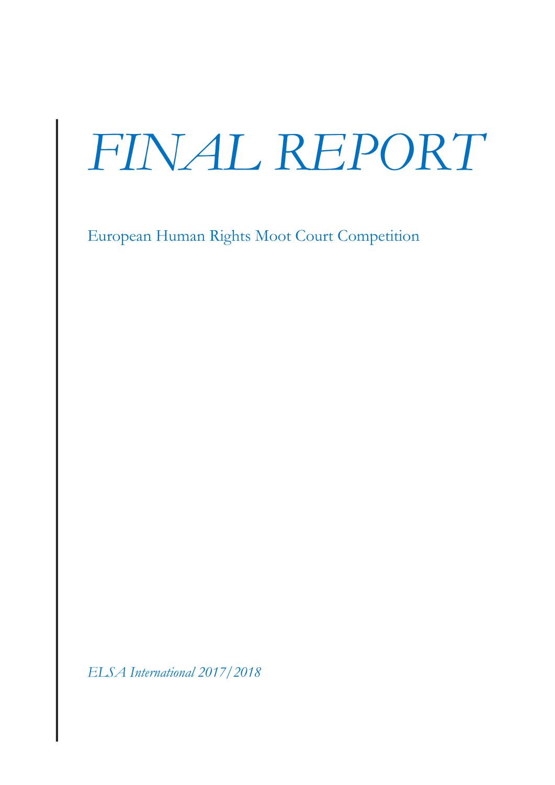# *FINAL REPORT*

European Human Rights Moot Court Competition

*ELSA International 2017/2018*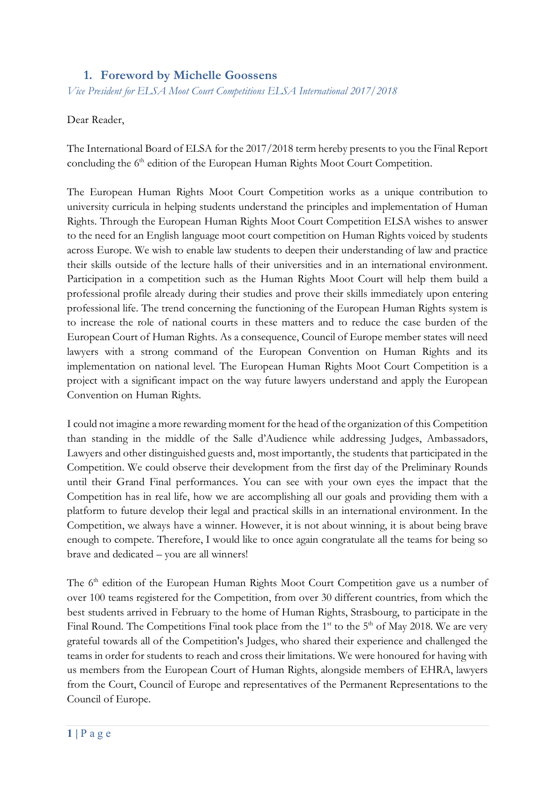## **1. Foreword by Michelle Goossens**

*Vice President for ELSA Moot Court Competitions ELSA International 2017/2018*

#### Dear Reader,

The International Board of ELSA for the 2017/2018 term hereby presents to you the Final Report concluding the 6<sup>th</sup> edition of the European Human Rights Moot Court Competition.

The European Human Rights Moot Court Competition works as a unique contribution to university curricula in helping students understand the principles and implementation of Human Rights. Through the European Human Rights Moot Court Competition ELSA wishes to answer to the need for an English language moot court competition on Human Rights voiced by students across Europe. We wish to enable law students to deepen their understanding of law and practice their skills outside of the lecture halls of their universities and in an international environment. Participation in a competition such as the Human Rights Moot Court will help them build a professional profile already during their studies and prove their skills immediately upon entering professional life. The trend concerning the functioning of the European Human Rights system is to increase the role of national courts in these matters and to reduce the case burden of the European Court of Human Rights. As a consequence, Council of Europe member states will need lawyers with a strong command of the European Convention on Human Rights and its implementation on national level. The European Human Rights Moot Court Competition is a project with a significant impact on the way future lawyers understand and apply the European Convention on Human Rights.

I could not imagine a more rewarding moment for the head of the organization of this Competition than standing in the middle of the Salle d'Audience while addressing Judges, Ambassadors, Lawyers and other distinguished guests and, most importantly, the students that participated in the Competition. We could observe their development from the first day of the Preliminary Rounds until their Grand Final performances. You can see with your own eyes the impact that the Competition has in real life, how we are accomplishing all our goals and providing them with a platform to future develop their legal and practical skills in an international environment. In the Competition, we always have a winner. However, it is not about winning, it is about being brave enough to compete. Therefore, I would like to once again congratulate all the teams for being so brave and dedicated – you are all winners!

The 6<sup>th</sup> edition of the European Human Rights Moot Court Competition gave us a number of over 100 teams registered for the Competition, from over 30 different countries, from which the best students arrived in February to the home of Human Rights, Strasbourg, to participate in the Final Round. The Competitions Final took place from the  $1<sup>st</sup>$  to the  $5<sup>th</sup>$  of May 2018. We are very grateful towards all of the Competition's Judges, who shared their experience and challenged the teams in order for students to reach and cross their limitations. We were honoured for having with us members from the European Court of Human Rights, alongside members of EHRA, lawyers from the Court, Council of Europe and representatives of the Permanent Representations to the Council of Europe.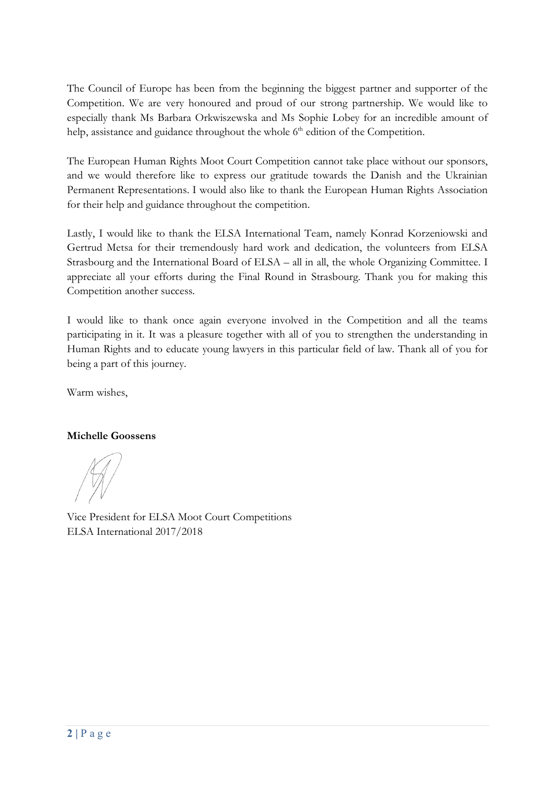The Council of Europe has been from the beginning the biggest partner and supporter of the Competition. We are very honoured and proud of our strong partnership. We would like to especially thank Ms Barbara Orkwiszewska and Ms Sophie Lobey for an incredible amount of help, assistance and guidance throughout the whole  $6<sup>th</sup>$  edition of the Competition.

The European Human Rights Moot Court Competition cannot take place without our sponsors, and we would therefore like to express our gratitude towards the Danish and the Ukrainian Permanent Representations. I would also like to thank the European Human Rights Association for their help and guidance throughout the competition.

Lastly, I would like to thank the ELSA International Team, namely Konrad Korzeniowski and Gertrud Metsa for their tremendously hard work and dedication, the volunteers from ELSA Strasbourg and the International Board of ELSA – all in all, the whole Organizing Committee. I appreciate all your efforts during the Final Round in Strasbourg. Thank you for making this Competition another success.

I would like to thank once again everyone involved in the Competition and all the teams participating in it. It was a pleasure together with all of you to strengthen the understanding in Human Rights and to educate young lawyers in this particular field of law. Thank all of you for being a part of this journey.

Warm wishes,

#### **Michelle Goossens**

Vice President for ELSA Moot Court Competitions ELSA International 2017/2018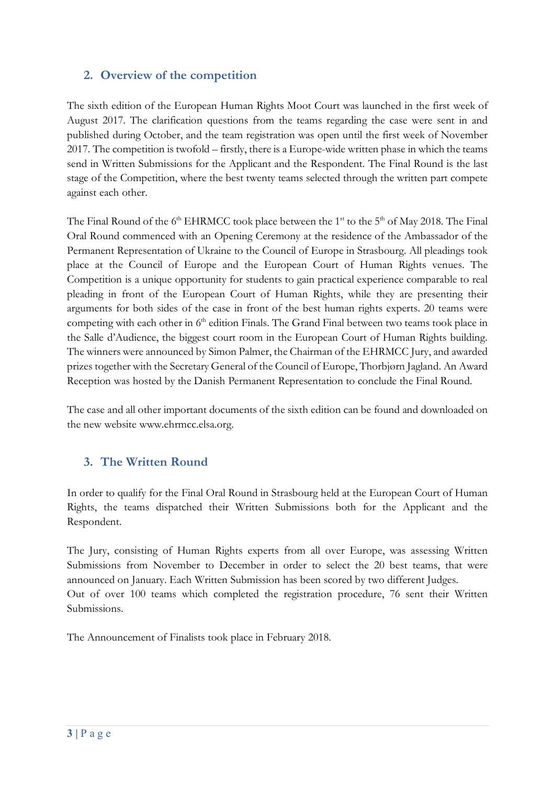# **2. Overview of the competition**

The sixth edition of the European Human Rights Moot Court was launched in the first week of August 2017. The clarification questions from the teams regarding the case were sent in and published during October, and the team registration was open until the first week of November 2017. The competition is twofold – firstly, there is a Europe-wide written phase in which the teams send in Written Submissions for the Applicant and the Respondent. The Final Round is the last stage of the Competition, where the best twenty teams selected through the written part compete against each other.

The Final Round of the  $6<sup>th</sup>$  EHRMCC took place between the 1<sup>st</sup> to the  $5<sup>th</sup>$  of May 2018. The Final Oral Round commenced with an Opening Ceremony at the residence of the Ambassador of the Permanent Representation of Ukraine to the Council of Europe in Strasbourg. All pleadings took place at the Council of Europe and the European Court of Human Rights venues. The Competition is a unique opportunity for students to gain practical experience comparable to real pleading in front of the European Court of Human Rights, while they are presenting their arguments for both sides of the case in front of the best human rights experts. 20 teams were competing with each other in 6<sup>th</sup> edition Finals. The Grand Final between two teams took place in the Salle d'Audience, the biggest court room in the European Court of Human Rights building. The winners were announced by Simon Palmer, the Chairman of the EHRMCC Jury, and awarded prizes together with the Secretary General of the Council of Europe, Thorbjørn Jagland. An Award Reception was hosted by the Danish Permanent Representation to conclude the Final Round.

The case and all other important documents of the sixth edition can be found and downloaded on the new website www.ehrmcc.elsa.org.

### **3. The Written Round**

In order to qualify for the Final Oral Round in Strasbourg held at the European Court of Human Rights, the teams dispatched their Written Submissions both for the Applicant and the Respondent.

The Jury, consisting of Human Rights experts from all over Europe, was assessing Written Submissions from November to December in order to select the 20 best teams, that were announced on January. Each Written Submission has been scored by two different Judges. Out of over 100 teams which completed the registration procedure, 76 sent their Written Submissions.

The Announcement of Finalists took place in February 2018.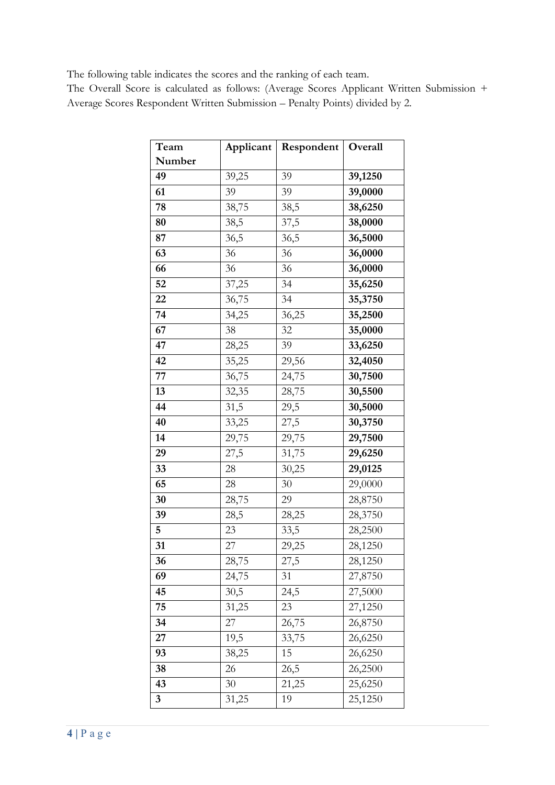The following table indicates the scores and the ranking of each team.

The Overall Score is calculated as follows: (Average Scores Applicant Written Submission + Average Scores Respondent Written Submission – Penalty Points) divided by 2.

| Team   | Applicant | Respondent | Overall |
|--------|-----------|------------|---------|
| Number |           |            |         |
| 49     | 39,25     | 39         | 39,1250 |
| 61     | 39        | 39         | 39,0000 |
| 78     | 38,75     | 38,5       | 38,6250 |
| 80     | 38,5      | 37,5       | 38,0000 |
| 87     | 36,5      | 36,5       | 36,5000 |
| 63     | 36        | 36         | 36,0000 |
| 66     | 36        | 36         | 36,0000 |
| 52     | 37,25     | 34         | 35,6250 |
| 22     | 36,75     | 34         | 35,3750 |
| 74     | 34,25     | 36,25      | 35,2500 |
| 67     | 38        | 32         | 35,0000 |
| 47     | 28,25     | 39         | 33,6250 |
| 42     | 35,25     | 29,56      | 32,4050 |
| 77     | 36,75     | 24,75      | 30,7500 |
| 13     | 32,35     | 28,75      | 30,5500 |
| 44     | 31,5      | 29,5       | 30,5000 |
| 40     | 33,25     | 27,5       | 30,3750 |
| 14     | 29,75     | 29,75      | 29,7500 |
| 29     | 27,5      | 31,75      | 29,6250 |
| 33     | 28        | 30,25      | 29,0125 |
| 65     | 28        | 30         | 29,0000 |
| 30     | 28,75     | 29         | 28,8750 |
| 39     | 28,5      | 28,25      | 28,3750 |
| 5      | 23        | 33,5       | 28,2500 |
| 31     | 27        | 29,25      | 28,1250 |
| 36     | 28,75     | 27,5       | 28,1250 |
| 69     | 24,75     | 31         | 27,8750 |
| 45     | 30,5      | 24,5       | 27,5000 |
| 75     | 31,25     | 23         | 27,1250 |
| 34     | 27        | 26,75      | 26,8750 |
| 27     | 19,5      | 33,75      | 26,6250 |
| 93     | 38,25     | 15         | 26,6250 |
| 38     | 26        | 26,5       | 26,2500 |
| 43     | 30        | 21,25      | 25,6250 |
| 3      | 31,25     | 19         | 25,1250 |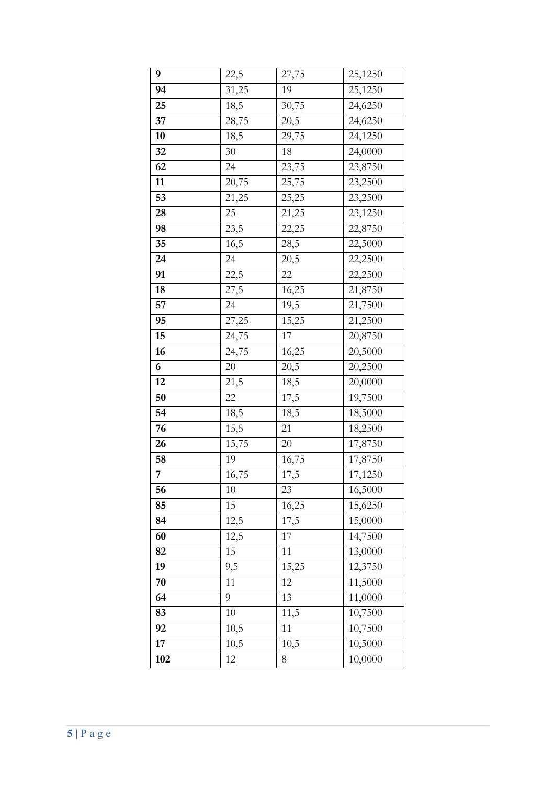| 22,5              | 27,75 | 25,1250 |
|-------------------|-------|---------|
| 31,25             | 19    | 25,1250 |
| 18,5              | 30,75 | 24,6250 |
| 28,75             | 20,5  | 24,6250 |
| 18,5              | 29,75 | 24,1250 |
| 30                | 18    | 24,0000 |
| 24                | 23,75 | 23,8750 |
| 20,75             | 25,75 | 23,2500 |
| 21,25             | 25,25 | 23,2500 |
| 25                | 21,25 | 23,1250 |
| 23,5              | 22,25 | 22,8750 |
| 16,5              | 28,5  | 22,5000 |
| 24                | 20,5  | 22,2500 |
| 22,5              | 22    | 22,2500 |
| 27,5              | 16,25 | 21,8750 |
| 24                | 19,5  | 21,7500 |
| 27,25             | 15,25 | 21,2500 |
| 24,75             | 17    | 20,8750 |
| 24,75             | 16,25 | 20,5000 |
| 20                | 20,5  | 20,2500 |
| 21,5              | 18,5  | 20,0000 |
| 22                | 17,5  | 19,7500 |
| 18,5              | 18,5  | 18,5000 |
| $\overline{15,5}$ | 21    | 18,2500 |
| 15,75             | 20    | 17,8750 |
| 19                | 16,75 | 17,8750 |
| 16,75             | 17,5  | 17,1250 |
| 10                | 23    | 16,5000 |
| 15                | 16,25 | 15,6250 |
| 12,5              | 17,5  | 15,0000 |
| 12,5              | 17    | 14,7500 |
| 15                | 11    | 13,0000 |
| 9,5               | 15,25 | 12,3750 |
| 11                | 12    | 11,5000 |
| 9                 | 13    | 11,0000 |
| 10                | 11,5  | 10,7500 |
| 10,5              | 11    | 10,7500 |
| 10,5              | 10,5  | 10,5000 |
| 12                | 8     | 10,0000 |
|                   |       |         |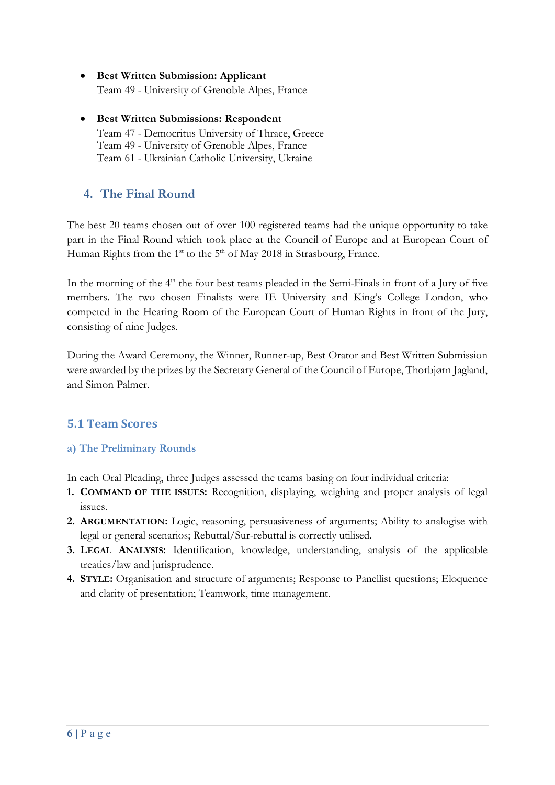- **Best Written Submission: Applicant** Team 49 - University of Grenoble Alpes, France
- **Best Written Submissions: Respondent**  Team 47 - Democritus University of Thrace, Greece Team 49 - University of Grenoble Alpes, France Team 61 - Ukrainian Catholic University, Ukraine

# **4. The Final Round**

The best 20 teams chosen out of over 100 registered teams had the unique opportunity to take part in the Final Round which took place at the Council of Europe and at European Court of Human Rights from the 1<sup>st</sup> to the 5<sup>th</sup> of May 2018 in Strasbourg, France.

In the morning of the 4<sup>th</sup> the four best teams pleaded in the Semi-Finals in front of a Jury of five members. The two chosen Finalists were IE University and King's College London, who competed in the Hearing Room of the European Court of Human Rights in front of the Jury, consisting of nine Judges.

During the Award Ceremony, the Winner, Runner-up, Best Orator and Best Written Submission were awarded by the prizes by the Secretary General of the Council of Europe, Thorbjørn Jagland, and Simon Palmer.

# **5.1 Team Scores**

#### **a) The Preliminary Rounds**

In each Oral Pleading, three Judges assessed the teams basing on four individual criteria:

- **1. COMMAND OF THE ISSUES:** Recognition, displaying, weighing and proper analysis of legal issues.
- **2. ARGUMENTATION:** Logic, reasoning, persuasiveness of arguments; Ability to analogise with legal or general scenarios; Rebuttal/Sur-rebuttal is correctly utilised.
- **3. LEGAL ANALYSIS:** Identification, knowledge, understanding, analysis of the applicable treaties/law and jurisprudence.
- **4. STYLE:** Organisation and structure of arguments; Response to Panellist questions; Eloquence and clarity of presentation; Teamwork, time management.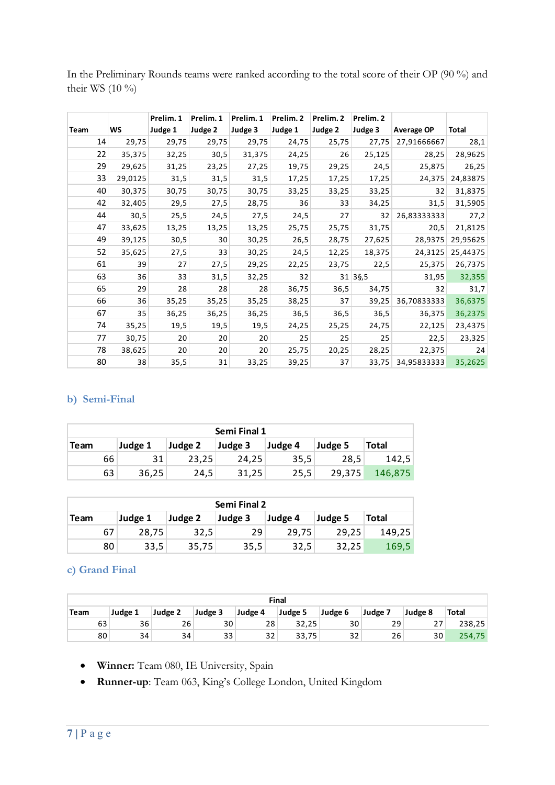In the Preliminary Rounds teams were ranked according to the total score of their OP (90 %) and their WS (10 %)

|      |           | Prelim. 1 | Prelim. 1 | Prelim. 1 | Prelim. 2 | Prelim. 2 | Prelim. 2                |             |          |
|------|-----------|-----------|-----------|-----------|-----------|-----------|--------------------------|-------------|----------|
| Team | <b>WS</b> | Judge 1   | Judge 2   | Judge 3   | Judge 1   | Judge 2   | Judge 3                  | Average OP  | Total    |
| 14   | 29,75     | 29,75     | 29,75     | 29,75     | 24,75     | 25,75     | 27,75                    | 27,91666667 | 28,1     |
| 22   | 35,375    | 32,25     | 30,5      | 31,375    | 24,25     | 26        | 25,125                   | 28,25       | 28,9625  |
| 29   | 29,625    | 31,25     | 23,25     | 27,25     | 19,75     | 29,25     | 24,5                     | 25,875      | 26,25    |
| 33   | 29,0125   | 31,5      | 31,5      | 31,5      | 17,25     | 17,25     | 17,25                    | 24,375      | 24,83875 |
| 40   | 30,375    | 30,75     | 30,75     | 30,75     | 33,25     | 33,25     | 33,25                    | 32          | 31,8375  |
| 42   | 32,405    | 29,5      | 27,5      | 28,75     | 36        | 33        | 34,25                    | 31,5        | 31,5905  |
| 44   | 30,5      | 25,5      | 24,5      | 27,5      | 24,5      | 27        | 32                       | 26,83333333 | 27,2     |
| 47   | 33,625    | 13,25     | 13,25     | 13,25     | 25,75     | 25,75     | 31,75                    | 20,5        | 21,8125  |
| 49   | 39,125    | 30,5      | 30        | 30,25     | 26,5      | 28,75     | 27,625                   | 28,9375     | 29,95625 |
| 52   | 35,625    | 27,5      | 33        | 30,25     | 24,5      | 12,25     | 18,375                   | 24,3125     | 25,44375 |
| 61   | 39        | 27        | 27,5      | 29,25     | 22,25     | 23,75     | 22,5                     | 25,375      | 26,7375  |
| 63   | 36        | 33        | 31,5      | 32,25     | 32        |           | $31 \,   \, 3\, \, 5, 5$ | 31,95       | 32,355   |
| 65   | 29        | 28        | 28        | 28        | 36,75     | 36,5      | 34,75                    | 32          | 31,7     |
| 66   | 36        | 35,25     | 35,25     | 35,25     | 38,25     | 37        | 39,25                    | 36,70833333 | 36,6375  |
| 67   | 35        | 36,25     | 36,25     | 36,25     | 36,5      | 36,5      | 36,5                     | 36,375      | 36,2375  |
| 74   | 35,25     | 19,5      | 19,5      | 19,5      | 24,25     | 25,25     | 24,75                    | 22,125      | 23,4375  |
| 77   | 30,75     | 20        | 20        | 20        | 25        | 25        | 25                       | 22,5        | 23,325   |
| 78   | 38,625    | 20        | 20        | 20        | 25,75     | 20,25     | 28,25                    | 22,375      | 24       |
| 80   | 38        | 35,5      | 31        | 33,25     | 39,25     | 37        | 33,75                    | 34,95833333 | 35,2625  |

#### **b) Semi-Final**

| Semi Final 1 |         |         |         |         |         |              |  |  |  |  |
|--------------|---------|---------|---------|---------|---------|--------------|--|--|--|--|
| <b>Team</b>  | Judge 1 | Judge 2 | Judge 3 | Judge 4 | Judge 5 | <b>Total</b> |  |  |  |  |
| 66           | 31      | 23,25   | 24.25   | 35,5    | 28.5    | 142,5        |  |  |  |  |
| 63           | 36,25   | 24,5    | 31,25   | 25,5    | 29.375  | 146,875      |  |  |  |  |

| <b>Semi Final 2</b> |         |         |         |         |         |              |  |  |  |  |  |
|---------------------|---------|---------|---------|---------|---------|--------------|--|--|--|--|--|
| Team                | Judge 1 | Judge 2 | Judge 3 | Judge 4 | Judge 5 | <b>Total</b> |  |  |  |  |  |
| 67                  | 28.75   | 32.5    | 29      | 29,75   | 29,25   | 149,25       |  |  |  |  |  |
| 80                  | 33,5    | 35,75   | 35,5    | 32,5    | 32.25   | 169,5        |  |  |  |  |  |

#### **c) Grand Final**

|      | <b>Final</b> |         |         |         |         |         |         |         |              |  |  |  |
|------|--------------|---------|---------|---------|---------|---------|---------|---------|--------------|--|--|--|
| Team | Judge 1      | Judge 2 | Judge 3 | Judge 4 | Judge 5 | Judge 6 | Judge 7 | Judge 8 | <b>Total</b> |  |  |  |
| 63   | 36           | 26      | 30      | 28      | 32,25   | 30      | 29      | 27      | 238,25       |  |  |  |
| 80   | 34           | 34      | 33      | 32      | 33,75   | 32      | 26      | 30      | 254,75       |  |  |  |

- **Winner:** Team 080, IE University, Spain
- **Runner-up**: Team 063, King's College London, United Kingdom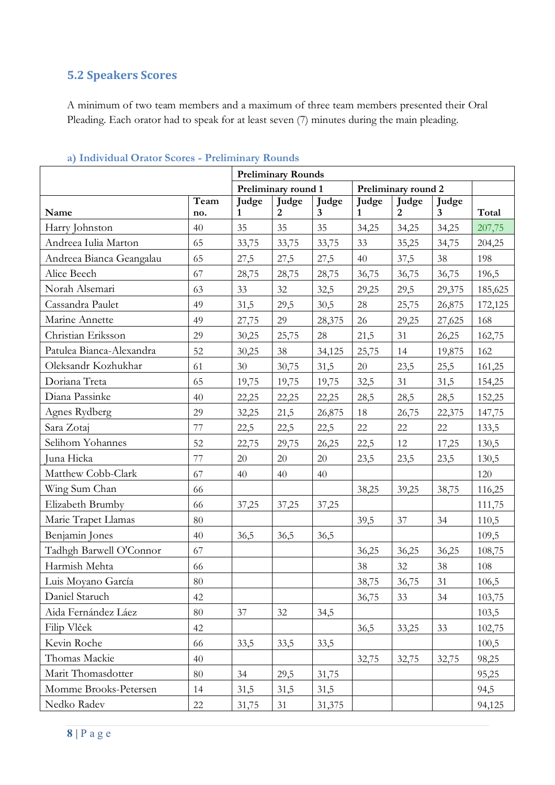# **5.2 Speakers Scores**

A minimum of two team members and a maximum of three team members presented their Oral Pleading. Each orator had to speak for at least seven (7) minutes during the main pleading.

|                          |             |            | <b>Preliminary Rounds</b> |                                         |            |                         |                       |         |  |  |  |  |  |
|--------------------------|-------------|------------|---------------------------|-----------------------------------------|------------|-------------------------|-----------------------|---------|--|--|--|--|--|
|                          |             |            | Preliminary round 1       |                                         |            | Preliminary round 2     |                       |         |  |  |  |  |  |
| Name                     | Team<br>no. | Judge<br>1 | Judge<br>$\overline{2}$   | <b>Judge</b><br>$\overline{\mathbf{3}}$ | Judge<br>1 | Judge<br>$\overline{2}$ | Judge<br>$\mathbf{3}$ | Total   |  |  |  |  |  |
| Harry Johnston           | 40          | 35         | 35                        | 35                                      | 34,25      | 34,25                   | 34,25                 | 207,75  |  |  |  |  |  |
| Andreea Iulia Marton     | 65          | 33,75      | 33,75                     | 33,75                                   | 33         | 35,25                   | 34,75                 | 204,25  |  |  |  |  |  |
| Andreea Bianca Geangalau | 65          | 27,5       | 27,5                      | 27,5                                    | 40         | 37,5                    | 38                    | 198     |  |  |  |  |  |
| Alice Beech              | 67          | 28,75      | 28,75                     | 28,75                                   | 36,75      | 36,75                   | 36,75                 | 196,5   |  |  |  |  |  |
| Norah Alsemari           | 63          | 33         | 32                        | 32,5                                    | 29,25      | 29,5                    | 29,375                | 185,625 |  |  |  |  |  |
| Cassandra Paulet         | 49          | 31,5       | 29,5                      | 30,5                                    | 28         | 25,75                   | 26,875                | 172,125 |  |  |  |  |  |
| Marine Annette           | 49          | 27,75      | 29                        | 28,375                                  | 26         | 29,25                   | 27,625                | 168     |  |  |  |  |  |
| Christian Eriksson       | 29          | 30,25      | 25,75                     | 28                                      | 21,5       | 31                      | 26,25                 | 162,75  |  |  |  |  |  |
| Patulea Bianca-Alexandra | 52          | 30,25      | 38                        | 34,125                                  | 25,75      | 14                      | 19,875                | 162     |  |  |  |  |  |
| Oleksandr Kozhukhar      | 61          | 30         | 30,75                     | 31,5                                    | 20         | 23,5                    | 25,5                  | 161,25  |  |  |  |  |  |
| Doriana Treta            | 65          | 19,75      | 19,75                     | 19,75                                   | 32,5       | 31                      | 31,5                  | 154,25  |  |  |  |  |  |
| Diana Passinke           | 40          | 22,25      | 22,25                     | 22,25                                   | 28,5       | 28,5                    | 28,5                  | 152,25  |  |  |  |  |  |
| Agnes Rydberg            | 29          | 32,25      | 21,5                      | 26,875                                  | 18         | 26,75                   | 22,375                | 147,75  |  |  |  |  |  |
| Sara Zotaj               | 77          | 22,5       | 22,5                      | 22,5                                    | 22         | 22                      | 22                    | 133,5   |  |  |  |  |  |
| Selihom Yohannes         | 52          | 22,75      | 29,75                     | 26,25                                   | 22,5       | 12                      | 17,25                 | 130,5   |  |  |  |  |  |
| Juna Hicka               | 77          | 20         | 20                        | $20\,$                                  | 23,5       | 23,5                    | 23,5                  | 130,5   |  |  |  |  |  |
| Matthew Cobb-Clark       | 67          | 40         | 40                        | 40                                      |            |                         |                       | 120     |  |  |  |  |  |
| Wing Sum Chan            | 66          |            |                           |                                         | 38,25      | 39,25                   | 38,75                 | 116,25  |  |  |  |  |  |
| Elizabeth Brumby         | 66          | 37,25      | 37,25                     | 37,25                                   |            |                         |                       | 111,75  |  |  |  |  |  |
| Marie Trapet Llamas      | 80          |            |                           |                                         | 39,5       | 37                      | 34                    | 110,5   |  |  |  |  |  |
| Benjamin Jones           | 40          | 36,5       | 36,5                      | 36,5                                    |            |                         |                       | 109,5   |  |  |  |  |  |
| Tadhgh Barwell O'Connor  | 67          |            |                           |                                         | 36,25      | 36,25                   | 36,25                 | 108,75  |  |  |  |  |  |
| Harmish Mehta            | 66          |            |                           |                                         | 38         | 32                      | 38                    | 108     |  |  |  |  |  |
| Luis Moyano García       | $80\,$      |            |                           |                                         | 38,75      | 36,75                   | 31                    | 106,5   |  |  |  |  |  |
| Daniel Staruch           | 42          |            |                           |                                         | 36,75      | 33                      | 34                    | 103,75  |  |  |  |  |  |
| Aida Fernández Láez      | 80          | 37         | $32\,$                    | 34,5                                    |            |                         |                       | 103,5   |  |  |  |  |  |
| Filip Vlček              | 42          |            |                           |                                         | 36,5       | 33,25                   | 33                    | 102,75  |  |  |  |  |  |
| Kevin Roche              | 66          | 33,5       | 33,5                      | 33,5                                    |            |                         |                       | 100,5   |  |  |  |  |  |
| Thomas Mackie            | 40          |            |                           |                                         | 32,75      | 32,75                   | 32,75                 | 98,25   |  |  |  |  |  |
| Marit Thomasdotter       | 80          | 34         | 29,5                      | 31,75                                   |            |                         |                       | 95,25   |  |  |  |  |  |
| Momme Brooks-Petersen    | 14          | 31,5       | 31,5                      | 31,5                                    |            |                         |                       | 94,5    |  |  |  |  |  |
| Nedko Radev              | 22          | 31,75      | 31                        | 31,375                                  |            |                         |                       | 94,125  |  |  |  |  |  |

#### **a) Individual Orator Scores - Preliminary Rounds**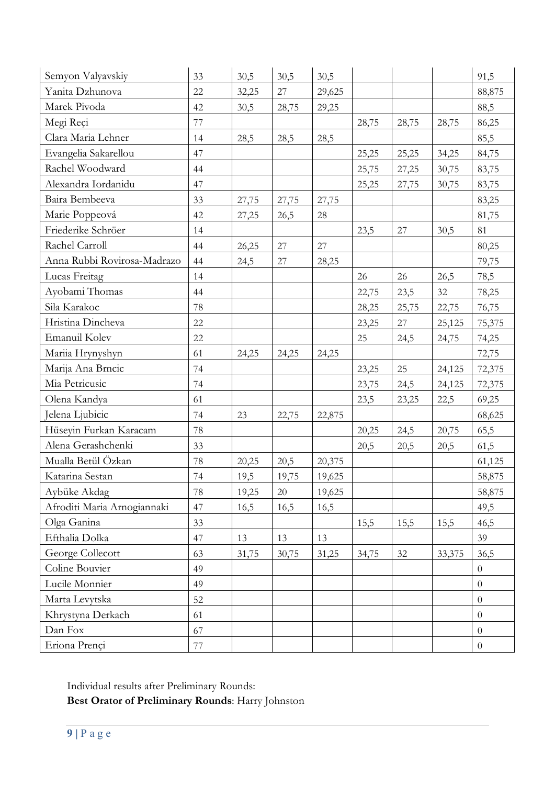| Semyon Valyavskiy           | 33 | 30,5  | 30,5   | 30,5   |       |       |        | 91,5           |
|-----------------------------|----|-------|--------|--------|-------|-------|--------|----------------|
| Yanita Dzhunova             | 22 | 32,25 | 27     | 29,625 |       |       |        | 88,875         |
| Marek Pivoda                | 42 | 30,5  | 28,75  | 29,25  |       |       |        | 88,5           |
| Megi Reçi                   | 77 |       |        |        | 28,75 | 28,75 | 28,75  | 86,25          |
| Clara Maria Lehner          | 14 | 28,5  | 28,5   | 28,5   |       |       |        | 85,5           |
| Evangelia Sakarellou        | 47 |       |        |        | 25,25 | 25,25 | 34,25  | 84,75          |
| Rachel Woodward             | 44 |       |        |        | 25,75 | 27,25 | 30,75  | 83,75          |
| Alexandra Iordanidu         | 47 |       |        |        | 25,25 | 27,75 | 30,75  | 83,75          |
| Baira Bembeeva              | 33 | 27,75 | 27,75  | 27,75  |       |       |        | 83,25          |
| Marie Poppeová              | 42 | 27,25 | 26,5   | 28     |       |       |        | 81,75          |
| Friederike Schröer          | 14 |       |        |        | 23,5  | 27    | 30,5   | 81             |
| Rachel Carroll              | 44 | 26,25 | $27\,$ | 27     |       |       |        | 80,25          |
| Anna Rubbi Rovirosa-Madrazo | 44 | 24,5  | 27     | 28,25  |       |       |        | 79,75          |
| Lucas Freitag               | 14 |       |        |        | 26    | 26    | 26,5   | 78,5           |
| Ayobami Thomas              | 44 |       |        |        | 22,75 | 23,5  | 32     | 78,25          |
| Sila Karakoc                | 78 |       |        |        | 28,25 | 25,75 | 22,75  | 76,75          |
| Hristina Dincheva           | 22 |       |        |        | 23,25 | 27    | 25,125 | 75,375         |
| Emanuil Kolev               | 22 |       |        |        | 25    | 24,5  | 24,75  | 74,25          |
| Mariia Hrynyshyn            | 61 | 24,25 | 24,25  | 24,25  |       |       |        | 72,75          |
| Marija Ana Brncic           | 74 |       |        |        | 23,25 | 25    | 24,125 | 72,375         |
| Mia Petricusic              | 74 |       |        |        | 23,75 | 24,5  | 24,125 | 72,375         |
| Olena Kandya                | 61 |       |        |        | 23,5  | 23,25 | 22,5   | 69,25          |
| Jelena Ljubicic             | 74 | 23    | 22,75  | 22,875 |       |       |        | 68,625         |
| Hüseyin Furkan Karacam      | 78 |       |        |        | 20,25 | 24,5  | 20,75  | 65,5           |
| Alena Gerashchenki          | 33 |       |        |        | 20,5  | 20,5  | 20,5   | 61,5           |
| Mualla Betül Özkan          | 78 | 20,25 | 20,5   | 20,375 |       |       |        | 61,125         |
| Katarina Sestan             | 74 | 19,5  | 19,75  | 19,625 |       |       |        | 58,875         |
| Aybüke Akdag                | 78 | 19,25 | 20     | 19,625 |       |       |        | 58,875         |
| Afroditi Maria Arnogiannaki | 47 | 16,5  | 16,5   | 16,5   |       |       |        | 49,5           |
| Olga Ganina                 | 33 |       |        |        | 15,5  | 15,5  | 15,5   | 46,5           |
| Efthalia Dolka              | 47 | 13    | 13     | 13     |       |       |        | 39             |
| George Collecott            | 63 | 31,75 | 30,75  | 31,25  | 34,75 | 32    | 33,375 | 36,5           |
| Coline Bouvier              | 49 |       |        |        |       |       |        | $\overline{0}$ |
| Lucile Monnier              | 49 |       |        |        |       |       |        | $\overline{0}$ |
| Marta Levytska              | 52 |       |        |        |       |       |        | $\overline{0}$ |
| Khrystyna Derkach           | 61 |       |        |        |       |       |        | $\overline{0}$ |
| Dan Fox                     | 67 |       |        |        |       |       |        | $\overline{0}$ |
| Eriona Prençi               | 77 |       |        |        |       |       |        | $\overline{0}$ |

Individual results after Preliminary Rounds:

**Best Orator of Preliminary Rounds**: Harry Johnston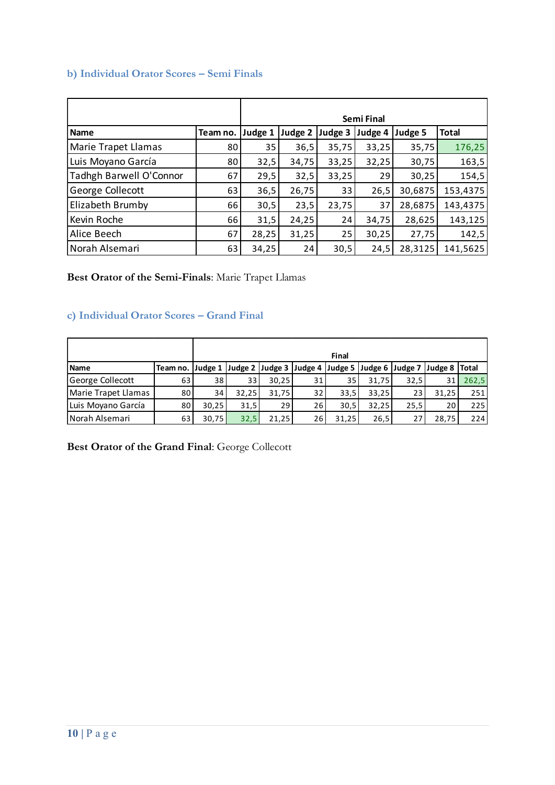#### **b) Individual Orator Scores – Semi Finals**

|                         |          | <b>Semi Final</b> |         |         |         |         |              |  |  |
|-------------------------|----------|-------------------|---------|---------|---------|---------|--------------|--|--|
| <b>Name</b>             | Team no. | Judge 1           | Judge 2 | Judge 3 | Judge 4 | Judge 5 | <b>Total</b> |  |  |
| Marie Trapet Llamas     | 80       | 35                | 36,5    | 35,75   | 33,25   | 35,75   | 176,25       |  |  |
| Luis Moyano García      | 80       | 32,5              | 34,75   | 33,25   | 32,25   | 30,75   | 163,5        |  |  |
| Tadhgh Barwell O'Connor | 67       | 29,5              | 32,5    | 33,25   | 29      | 30,25   | 154,5        |  |  |
| George Collecott        | 63       | 36,5              | 26,75   | 33      | 26,5    | 30,6875 | 153,4375     |  |  |
| Elizabeth Brumby        | 66       | 30,5              | 23,5    | 23,75   | 37      | 28,6875 | 143,4375     |  |  |
| Kevin Roche             | 66       | 31,5              | 24,25   | 24      | 34,75   | 28,625  | 143,125      |  |  |
| Alice Beech             | 67       | 28,25             | 31,25   | 25      | 30,25   | 27,75   | 142,5        |  |  |
| Norah Alsemari          | 63       | 34,25             | 24      | 30,5    | 24,5    | 28,3125 | 141,5625     |  |  |

#### **Best Orator of the Semi-Finals**: Marie Trapet Llamas

## **c) Individual Orator Scores – Grand Final**

|                     |                                                                                |                 |       |       |    | <b>Final</b>    |       |      |       |       |
|---------------------|--------------------------------------------------------------------------------|-----------------|-------|-------|----|-----------------|-------|------|-------|-------|
| <b>Name</b>         | Team no. Judge 1 Judge 2 Judge 3 Judge 4 Judge 5 Judge 6 Judge 7 Judge 8 Total |                 |       |       |    |                 |       |      |       |       |
| George Collecott    | 63                                                                             | 381             | 33    | 30,25 | 31 | 35 <sup>1</sup> | 31,75 | 32,5 | 31    | 262,5 |
| Marie Trapet Llamas | 80                                                                             | 34 <sup>1</sup> | 32.25 | 31,75 | 32 | 33,5            | 33,25 | 23   | 31.25 | 251   |
| Luis Moyano García  | 80                                                                             | 30,25           | 31,5  | 29    | 26 | 30,5            | 32,25 | 25,5 | 20    | 225   |
| Norah Alsemari      | 63                                                                             | 30,75           | 32,5  | 21,25 | 26 | 31,25           | 26,5  | 27   | 28,75 | 224   |

**Best Orator of the Grand Final**: George Collecott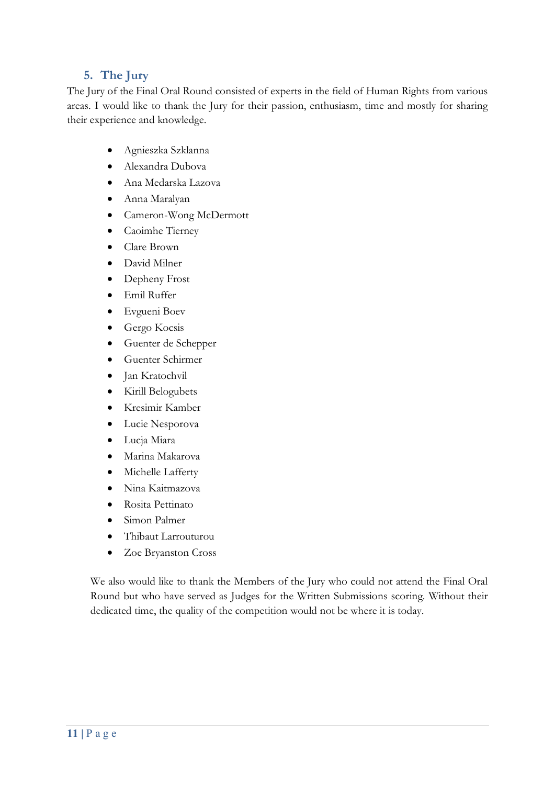# **5. The Jury**

The Jury of the Final Oral Round consisted of experts in the field of Human Rights from various areas. I would like to thank the Jury for their passion, enthusiasm, time and mostly for sharing their experience and knowledge.

- Agnieszka Szklanna
- Alexandra Dubova
- Ana Medarska Lazova
- Anna Maralyan
- Cameron-Wong McDermott
- Caoimhe Tierney
- Clare Brown
- David Milner
- Depheny Frost
- Emil Ruffer
- Evgueni Boev
- Gergo Kocsis
- Guenter de Schepper
- Guenter Schirmer
- Jan Kratochvil
- Kirill Belogubets
- Kresimir Kamber
- Lucie Nesporova
- Lucja Miara
- Marina Makarova
- Michelle Lafferty
- Nina Kaitmazova
- Rosita Pettinato
- Simon Palmer
- Thibaut Larrouturou
- Zoe Bryanston Cross

We also would like to thank the Members of the Jury who could not attend the Final Oral Round but who have served as Judges for the Written Submissions scoring. Without their dedicated time, the quality of the competition would not be where it is today.